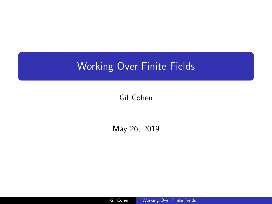# <span id="page-0-0"></span>Working Over Finite Fields

Gil Cohen

May 26, 2019

Gil Cohen Working Over Finite Fields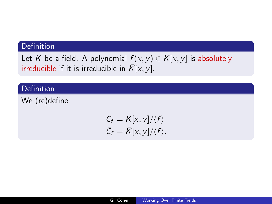# Definition

Let K be a field. A polynomial  $f(x, y) \in K[x, y]$  is absolutely irreducible if it is irreducible in  $\overline{K}[x, y]$ .

# Definition

We (re)define

$$
C_f = K[x, y]/\langle f \rangle
$$
  

$$
\bar{C}_f = \bar{K}[x, y]/\langle f \rangle.
$$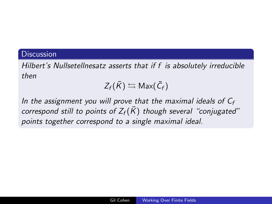## **Discussion**

Hilbert's Nullsetellnesatz asserts that if f is absolutely irreducible then

$$
Z_f(\bar{K}) \leftrightarrows \mathsf{Max}(\bar{C}_f)
$$

In the assignment you will prove that the maximal ideals of  $C_f$ correspond still to points of  $Z_f(\bar{K})$  though several "conjugated" points together correspond to a single maximal ideal.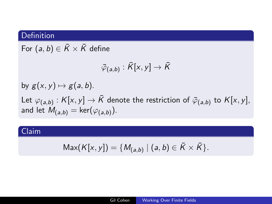# Definition

For  $(a, b) \in \overline{K} \times \overline{K}$  define

$$
\bar{\varphi}_{(a,b)}:\bar{K}[x,y]\to\bar{K}
$$

by  $g(x, y) \mapsto g(a, b)$ . Let  $\varphi_{(a,b)}:K[x,y]\rightarrow \bar{K}$  denote the restriction of  $\bar{\varphi}_{(a,b)}$  to  $K[x,y],$ and let  $M_{(a,b)} = \mathsf{ker}(\varphi_{(a,b)})$ .

# Claim

$$
Max(K[x, y]) = \{M_{(a,b)} \mid (a, b) \in \overline{K} \times \overline{K}\}.
$$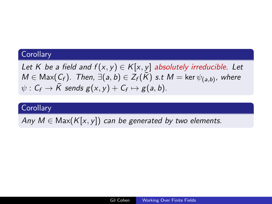#### **Corollary**

Let K be a field and  $f(x, y) \in K[x, y]$  absolutely irreducible. Let  $M\in {\sf Max}(\mathcal{C}_f)$ . Then,  $\exists(a,b)\in \overline{Z_f(\bar K)}$  s.t  $M=$  ker  $\psi_{(a,b)},$  where  $\psi: \mathsf{C}_\mathsf{f} \to \bar{\mathsf{K}}$  sends  $\mathsf{g}(\mathsf{x},\mathsf{y}) + \mathsf{C}_\mathsf{f} \mapsto \mathsf{g}(\mathsf{a},\mathsf{b}).$ 

#### **Corollary**

Any  $M \in \text{Max}(K[x, y])$  can be generated by two elements.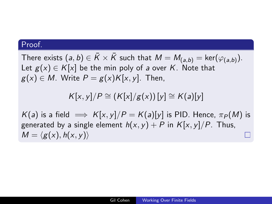There exists  $(a,b)\in \bar K\times \bar K$  such that  $M=M_{(a,b)}=\ker(\varphi_{(a,b)}).$ Let  $g(x) \in K[x]$  be the min poly of a over K. Note that  $g(x) \in M$ . Write  $P = g(x)K[x, y]$ . Then,

$$
K[x, y]/P \cong (K[x]/g(x))[y] \cong K(a)[y]
$$

 $K(a)$  is a field  $\implies K[x, y]/P = K(a)[y]$  is PID. Hence,  $\pi_P(M)$  is generated by a single element  $h(x, y) + P$  in  $K[x, y]/P$ . Thus,  $M = \langle g(x), h(x, y) \rangle$ П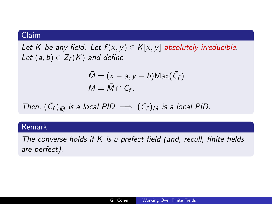## Claim

Let K be any field. Let  $f(x, y) \in K[x, y]$  absolutely irreducible. Let  $(a, b) \in Z_f(\overline{K})$  and define

$$
\overline{M} = (x - a, y - b) \text{Max}(\overline{C}_f)
$$

$$
M = \overline{M} \cap C_f.
$$

Then, 
$$
(\bar{C}_f)_{\bar{M}}
$$
 is a local PID  $\implies (C_f)_M$  is a local PID.

## Remark

The converse holds if  $K$  is a prefect field (and, recall, finite fields are perfect).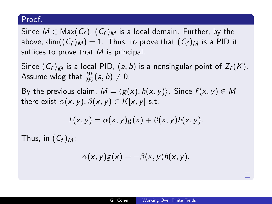Since  $M \in \text{Max}(C_f)$ ,  $(C_f)_M$  is a local domain. Further, by the above, dim $((C_f)_M) = 1$ . Thus, to prove that  $(C_f)_M$  is a PID it suffices to prove that  $M$  is principal.

Since  $(\bar{C}_f)_{\bar{M}}$  is a local PID,  $(a, b)$  is a nonsingular point of  $Z_f(\bar{K})$ . Assume wlog that  $\frac{\partial f}{\partial y}(a, b) \neq 0$ .

By the previous claim,  $M = \langle g(x), h(x, y) \rangle$ . Since  $f(x, y) \in M$ there exist  $\alpha(x, y), \beta(x, y) \in K[x, y]$  s.t.

$$
f(x,y) = \alpha(x,y)g(x) + \beta(x,y)h(x,y).
$$

Thus, in  $(C_f)_{M}$ :

$$
\alpha(x,y)g(x)=-\beta(x,y)h(x,y).
$$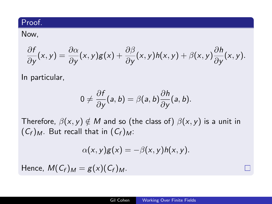Now,

$$
\frac{\partial f}{\partial y}(x,y) = \frac{\partial \alpha}{\partial y}(x,y)g(x) + \frac{\partial \beta}{\partial y}(x,y)h(x,y) + \beta(x,y)\frac{\partial h}{\partial y}(x,y).
$$

In particular,

$$
0\neq \frac{\partial f}{\partial y}(a,b)=\beta(a,b)\frac{\partial h}{\partial y}(a,b).
$$

Therefore,  $\beta(x, y) \notin M$  and so (the class of)  $\beta(x, y)$  is a unit in  $(C_f)_M$ . But recall that in  $(C_f)_M$ :

$$
\alpha(x,y)g(x)=-\beta(x,y)h(x,y).
$$

Hence,  $M(C_f)_M = g(x)(C_f)_M$ .

П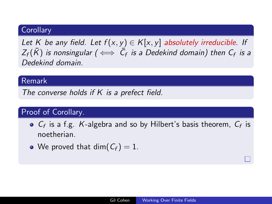## **Corollary**

Let K be any field. Let  $f(x, y) \in K[x, y]$  absolutely irreducible. If  $Z_f(\bar K)$  is nonsingular (  $\Longleftrightarrow\ \bar C_f$  is a Dedekind domain) then  $C_f$  is a Dedekind domain.

## Remark

The converse holds if K is a prefect field.

# Proof of Corollary.

- $C_f$  is a f.g. K-algebra and so by Hilbert's basis theorem,  $C_f$  is noetherian.
- We proved that dim( $C_f$ ) = 1.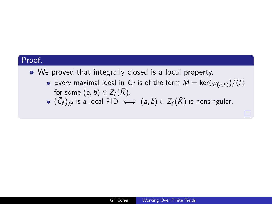• We proved that integrally closed is a local property.

- Every maximal ideal in  $C_f$  is of the form  $M = \text{ker}(\varphi_{(a,b)})/\langle f \rangle$ for some  $(a, b) \in Z_f(\overline{K})$ .
- $(\bar{\mathcal{C}}_f)_{\bar{M}}$  is a local PID  $\iff$   $(a,b)\in Z_f(\bar{K})$  is nonsingular.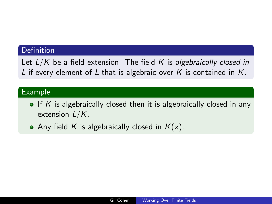#### **Definition**

Let  $L/K$  be a field extension. The field K is algebraically closed in L if every element of L that is algebraic over K is contained in  $K$ .

#### Example

- $\bullet$  If K is algebraically closed then it is algebraically closed in any extension  $L/K$ .
- Any field K is algebraically closed in  $K(x)$ .